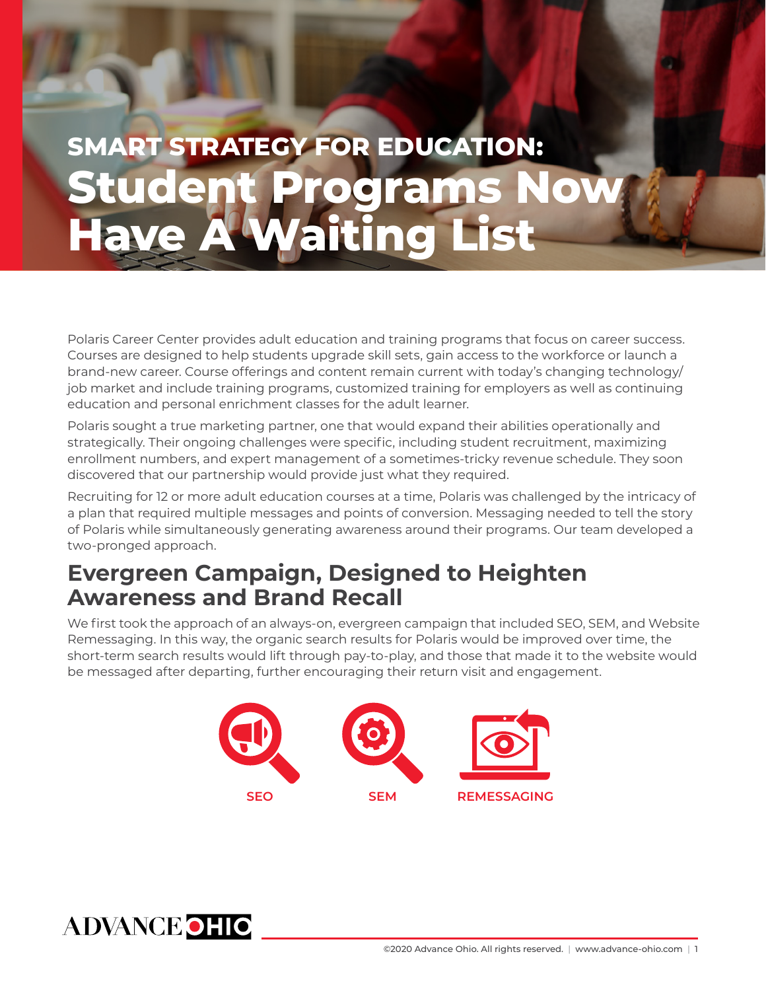## **SMART STRATEGY FOR EDUCATION: Student Programs Now Have A Waiting List**

Polaris Career Center provides adult education and training programs that focus on career success. Courses are designed to help students upgrade skill sets, gain access to the workforce or launch a brand-new career. Course offerings and content remain current with today's changing technology/ job market and include training programs, customized training for employers as well as continuing education and personal enrichment classes for the adult learner.

Polaris sought a true marketing partner, one that would expand their abilities operationally and strategically. Their ongoing challenges were specific, including student recruitment, maximizing enrollment numbers, and expert management of a sometimes-tricky revenue schedule. They soon discovered that our partnership would provide just what they required.

Recruiting for 12 or more adult education courses at a time, Polaris was challenged by the intricacy of a plan that required multiple messages and points of conversion. Messaging needed to tell the story of Polaris while simultaneously generating awareness around their programs. Our team developed a two-pronged approach.

## **Evergreen Campaign, Designed to Heighten Awareness and Brand Recall**

We first took the approach of an always-on, evergreen campaign that included SEO, SEM, and Website Remessaging. In this way, the organic search results for Polaris would be improved over time, the short-term search results would lift through pay-to-play, and those that made it to the website would be messaged after departing, further encouraging their return visit and engagement.